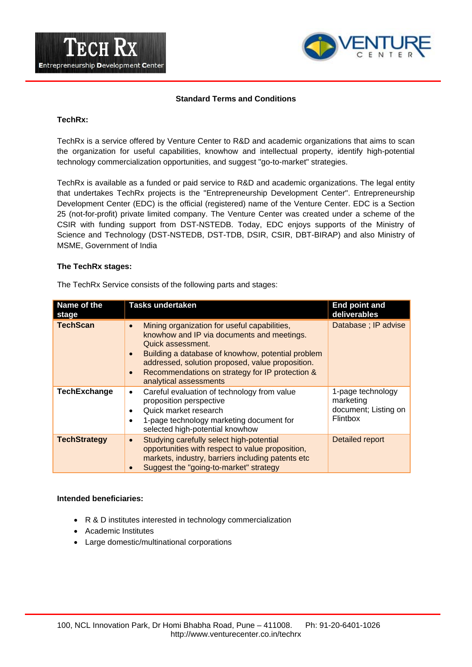



## **Standard Terms and Conditions**

#### **TechRx:**

TechRx is a service offered by Venture Center to R&D and academic organizations that aims to scan the organization for useful capabilities, knowhow and intellectual property, identify high-potential technology commercialization opportunities, and suggest "go-to-market" strategies.

TechRx is available as a funded or paid service to R&D and academic organizations. The legal entity that undertakes TechRx projects is the "Entrepreneurship Development Center". Entrepreneurship Development Center (EDC) is the official (registered) name of the Venture Center. EDC is a Section 25 (not-for-profit) private limited company. The Venture Center was created under a scheme of the CSIR with funding support from DST-NSTEDB. Today, EDC enjoys supports of the Ministry of Science and Technology (DST-NSTEDB, DST-TDB, DSIR, CSIR, DBT-BIRAP) and also Ministry of MSME, Government of India

### **The TechRx stages:**

The TechRx Service consists of the following parts and stages:

| Name of the<br>stage | Tasks undertaken                                                                                                                                                                                                                                                                                                                             | <b>End point and</b><br>deliverables                                      |
|----------------------|----------------------------------------------------------------------------------------------------------------------------------------------------------------------------------------------------------------------------------------------------------------------------------------------------------------------------------------------|---------------------------------------------------------------------------|
| <b>TechScan</b>      | Mining organization for useful capabilities,<br>$\bullet$<br>knowhow and IP via documents and meetings.<br>Quick assessment.<br>Building a database of knowhow, potential problem<br>$\bullet$<br>addressed, solution proposed, value proposition.<br>Recommendations on strategy for IP protection &<br>$\bullet$<br>analytical assessments | Database ; IP advise                                                      |
| <b>TechExchange</b>  | Careful evaluation of technology from value<br>$\bullet$<br>proposition perspective<br>Quick market research<br>٠<br>1-page technology marketing document for<br>٠<br>selected high-potential knowhow                                                                                                                                        | 1-page technology<br>marketing<br>document; Listing on<br><b>Flintbox</b> |
| <b>TechStrategy</b>  | Studying carefully select high-potential<br>$\bullet$<br>opportunities with respect to value proposition,<br>markets, industry, barriers including patents etc<br>Suggest the "going-to-market" strategy                                                                                                                                     | <b>Detailed report</b>                                                    |

#### **Intended beneficiaries:**

- R & D institutes interested in technology commercialization
- Academic Institutes
- Large domestic/multinational corporations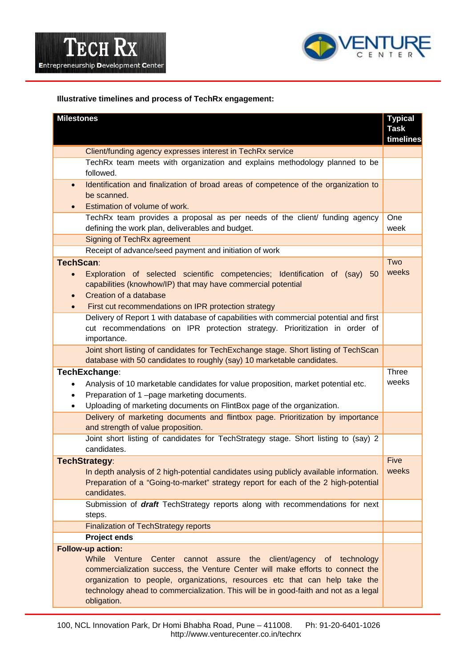



# **Illustrative timelines and process of TechRx engagement:**

| <b>Milestones</b>                                                                                                                                                                                                                                                                                                                                                  | <b>Typical</b><br><b>Task</b><br>timelines |
|--------------------------------------------------------------------------------------------------------------------------------------------------------------------------------------------------------------------------------------------------------------------------------------------------------------------------------------------------------------------|--------------------------------------------|
| Client/funding agency expresses interest in TechRx service                                                                                                                                                                                                                                                                                                         |                                            |
| TechRx team meets with organization and explains methodology planned to be<br>followed.                                                                                                                                                                                                                                                                            |                                            |
| Identification and finalization of broad areas of competence of the organization to<br>$\bullet$<br>be scanned.<br>Estimation of volume of work.<br>$\bullet$                                                                                                                                                                                                      |                                            |
| TechRx team provides a proposal as per needs of the client/ funding agency<br>defining the work plan, deliverables and budget.                                                                                                                                                                                                                                     | One<br>week                                |
| Signing of TechRx agreement                                                                                                                                                                                                                                                                                                                                        |                                            |
| Receipt of advance/seed payment and initiation of work                                                                                                                                                                                                                                                                                                             |                                            |
| TechScan:<br>Exploration of selected scientific competencies; Identification of (say) 50<br>capabilities (knowhow/IP) that may have commercial potential<br>Creation of a database<br>First cut recommendations on IPR protection strategy<br>$\bullet$                                                                                                            |                                            |
| Delivery of Report 1 with database of capabilities with commercial potential and first<br>cut recommendations on IPR protection strategy. Prioritization in order of<br>importance.                                                                                                                                                                                |                                            |
| Joint short listing of candidates for TechExchange stage. Short listing of TechScan<br>database with 50 candidates to roughly (say) 10 marketable candidates.                                                                                                                                                                                                      |                                            |
| TechExchange:<br>Analysis of 10 marketable candidates for value proposition, market potential etc.<br>Preparation of 1-page marketing documents.<br>Uploading of marketing documents on FlintBox page of the organization.<br>٠                                                                                                                                    |                                            |
| Delivery of marketing documents and flintbox page. Prioritization by importance<br>and strength of value proposition.                                                                                                                                                                                                                                              |                                            |
| Joint short listing of candidates for TechStrategy stage. Short listing to (say) 2<br>candidates.                                                                                                                                                                                                                                                                  | Five                                       |
| <b>TechStrategy:</b><br>In depth analysis of 2 high-potential candidates using publicly available information.<br>Preparation of a "Going-to-market" strategy report for each of the 2 high-potential<br>candidates.                                                                                                                                               |                                            |
| Submission of <i>draft</i> TechStrategy reports along with recommendations for next<br>steps.                                                                                                                                                                                                                                                                      |                                            |
| <b>Finalization of TechStrategy reports</b>                                                                                                                                                                                                                                                                                                                        |                                            |
| <b>Project ends</b>                                                                                                                                                                                                                                                                                                                                                |                                            |
| Follow-up action:<br>While Venture<br>Center cannot assure the client/agency of technology<br>commercialization success, the Venture Center will make efforts to connect the<br>organization to people, organizations, resources etc that can help take the<br>technology ahead to commercialization. This will be in good-faith and not as a legal<br>obligation. |                                            |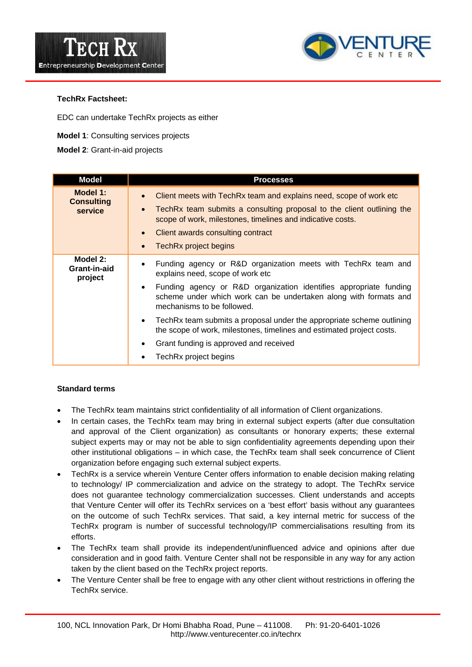



# **TechRx Factsheet:**

EDC can undertake TechRx projects as either

- **Model 1**: Consulting services projects
- **Model 2**: Grant-in-aid projects

| <b>Model</b>                             | <b>Processes</b>                                                                                                                                                                                                                                                                                                                                                                                                                                                                                                                                  |
|------------------------------------------|---------------------------------------------------------------------------------------------------------------------------------------------------------------------------------------------------------------------------------------------------------------------------------------------------------------------------------------------------------------------------------------------------------------------------------------------------------------------------------------------------------------------------------------------------|
| Model 1:<br><b>Consulting</b><br>service | Client meets with TechRx team and explains need, scope of work etc.<br>$\bullet$<br>TechRx team submits a consulting proposal to the client outlining the<br>$\bullet$<br>scope of work, milestones, timelines and indicative costs.<br>Client awards consulting contract<br>$\bullet$<br>TechRx project begins<br>$\bullet$                                                                                                                                                                                                                      |
| Model 2:<br>Grant-in-aid<br>project      | Funding agency or R&D organization meets with TechRx team and<br>$\bullet$<br>explains need, scope of work etc<br>Funding agency or R&D organization identifies appropriate funding<br>$\bullet$<br>scheme under which work can be undertaken along with formats and<br>mechanisms to be followed.<br>TechRx team submits a proposal under the appropriate scheme outlining<br>$\bullet$<br>the scope of work, milestones, timelines and estimated project costs.<br>Grant funding is approved and received<br>$\bullet$<br>TechRx project begins |

# **Standard terms**

- The TechRx team maintains strict confidentiality of all information of Client organizations.
- In certain cases, the TechRx team may bring in external subject experts (after due consultation and approval of the Client organization) as consultants or honorary experts; these external subject experts may or may not be able to sign confidentiality agreements depending upon their other institutional obligations – in which case, the TechRx team shall seek concurrence of Client organization before engaging such external subject experts.
- TechRx is a service wherein Venture Center offers information to enable decision making relating to technology/ IP commercialization and advice on the strategy to adopt. The TechRx service does not guarantee technology commercialization successes. Client understands and accepts that Venture Center will offer its TechRx services on a 'best effort' basis without any guarantees on the outcome of such TechRx services. That said, a key internal metric for success of the TechRx program is number of successful technology/IP commercialisations resulting from its efforts.
- The TechRx team shall provide its independent/uninfluenced advice and opinions after due consideration and in good faith. Venture Center shall not be responsible in any way for any action taken by the client based on the TechRx project reports.
- The Venture Center shall be free to engage with any other client without restrictions in offering the TechRx service.